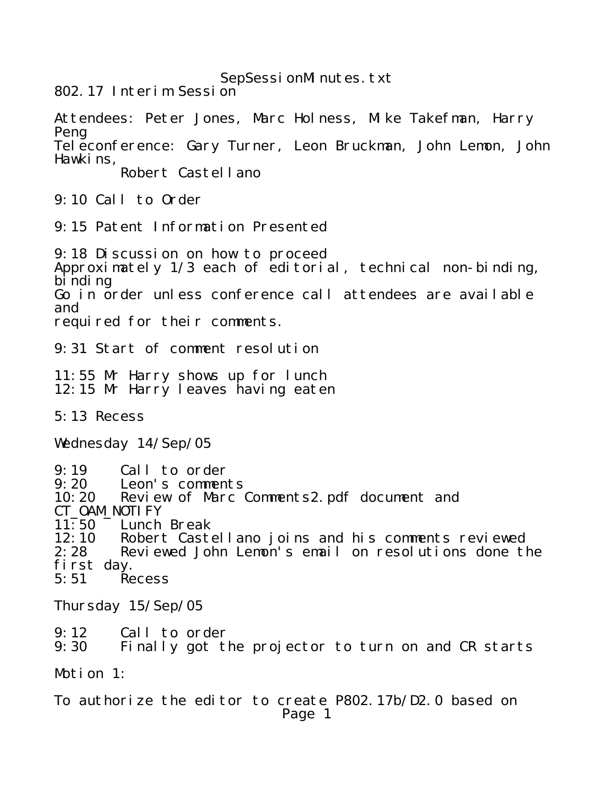SepSessionMinutes.txt

802.17 Interim Session

Attendees: Peter Jones, Marc Holness, Mike Takefman, Harry Peng Teleconference: Gary Turner, Leon Bruckman, John Lemon, John Hawkins, Robert Castellano 9:10 Call to Order 9:15 Patent Information Presented 9:18 Discussion on how to proceed Approximately 1/3 each of editorial, technical non-binding,  $\overline{\mathbf{b}}$  inding Go in order unless conference call attendees are available and required for their comments. 9:31 Start of comment resolution 11:55 Mr Harry shows up for lunch 12:15 Mr Harry leaves having eaten 5:13 Recess Wednesday 14/Sep/05 9:19 Call to order<br>9:20 Leon's comment 9:20 Leon's comments<br>10:20 Review of Marc 0 Review of Marc Comments2.pdf document and CT\_OAM\_NOTI FY<br>11:50 Lunch Lunch Break 12:10 Robert Castellano joins and his comments reviewed<br>2:28 Reviewed John Lemon's email on resolutions done tl Reviewed John Lemon's email on resolutions done the first day.<br>5:51 Re **Recess** Thursday 15/Sep/05 9:12 Call to order 9:30 Finally got the projector to turn on and CR starts Motion 1: To authorize the editor to create P802.17b/D2.0 based on Page 1